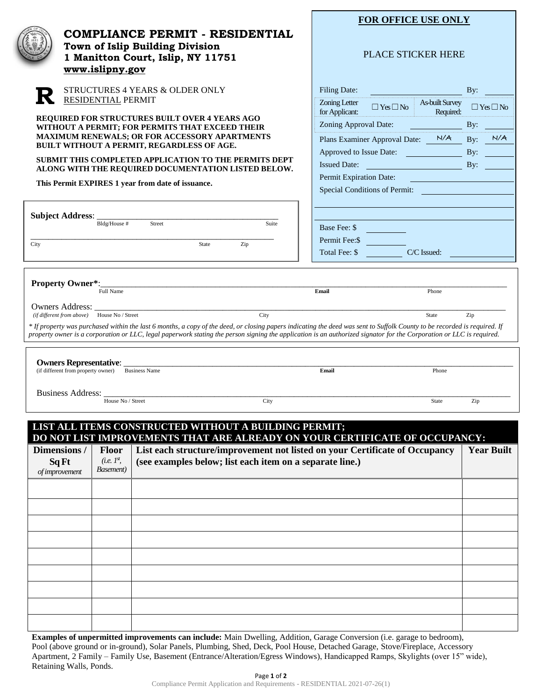|                                                                                                  | www.islipny.gov<br><b>RESIDENTIAL PERMIT</b> | <b>COMPLIANCE PERMIT - RESIDENTIAL</b><br>Town of Islip Building Division<br>1 Manitton Court, Islip, NY 11751<br>STRUCTURES 4 YEARS & OLDER ONLY<br>REQUIRED FOR STRUCTURES BUILT OVER 4 YEARS AGO                                                                                                                                                       | Filing Date:<br>Zoning Letter<br>for Applicant:<br>Zoning Approval Date: | <b>FOR OFFICE USE ONLY</b><br><b>PLACE STICKER HERE</b><br>By:<br><b>As-built Survey</b><br>$\Box$ Yes $\Box$ No<br>$\Box$ Yes $\Box$ No<br>Required:<br>By: |                          |  |
|--------------------------------------------------------------------------------------------------|----------------------------------------------|-----------------------------------------------------------------------------------------------------------------------------------------------------------------------------------------------------------------------------------------------------------------------------------------------------------------------------------------------------------|--------------------------------------------------------------------------|--------------------------------------------------------------------------------------------------------------------------------------------------------------|--------------------------|--|
|                                                                                                  |                                              | WITHOUT A PERMIT; FOR PERMITS THAT EXCEED THEIR<br><b>MAXIMUM RENEWALS; OR FOR ACCESSORY APARTMENTS</b><br>BUILT WITHOUT A PERMIT, REGARDLESS OF AGE.<br>SUBMIT THIS COMPLETED APPLICATION TO THE PERMITS DEPT<br>ALONG WITH THE REQUIRED DOCUMENTATION LISTED BELOW.                                                                                     | <b>Issued Date:</b>                                                      | Plans Examiner Approval Date: N/A<br>Approved to Issue Date:                                                                                                 | N/A<br>By:<br>By:<br>By: |  |
| <b>Subject Address: _</b>                                                                        | Bldg/House #                                 | This Permit EXPIRES 1 year from date of issuance.<br>Street<br>Suite                                                                                                                                                                                                                                                                                      | Permit Expiration Date:<br>Base Fee: \$                                  | Special Conditions of Permit:                                                                                                                                |                          |  |
| City                                                                                             |                                              | State<br>Zip                                                                                                                                                                                                                                                                                                                                              | Permit Fee: \$<br>Total Fee: \$                                          | C/C Issued:                                                                                                                                                  |                          |  |
| <b>Property Owner*:</b><br><b>Owners Address:</b><br>(if different from above) House No / Street | Full Name                                    | City<br>* If property was purchased within the last 6 months, a copy of the deed, or closing papers indicating the deed was sent to Suffolk County to be recorded is required. If<br>property owner is a corporation or LLC, legal paperwork stating the person signing the application is an authorized signator for the Corporation or LLC is required. | Email                                                                    | Phone<br>State                                                                                                                                               | Zip                      |  |
| <b>Owners Representative:</b><br>(if different from property owner) Business Name                |                                              |                                                                                                                                                                                                                                                                                                                                                           | Email                                                                    | Phone                                                                                                                                                        |                          |  |
| <b>Business Address:</b>                                                                         | House No / Street                            | City                                                                                                                                                                                                                                                                                                                                                      |                                                                          | <b>State</b>                                                                                                                                                 | Zip                      |  |
| Dimensions /                                                                                     | Floor                                        | LIST ALL ITEMS CONSTRUCTED WITHOUT A BUILDING PERMIT;<br>DO NOT LIST IMPROVEMENTS THAT ARE ALREADY ON YOUR CERTIFICATE OF OCCUPANCY:<br>List each structure/improvement not listed on your Certificate of Occupancy                                                                                                                                       |                                                                          |                                                                                                                                                              | <b>Year Built</b>        |  |
| Sq Ft<br>of improvement                                                                          | (i.e. I <sup>st</sup> )<br>Basement)         | (see examples below; list each item on a separate line.)                                                                                                                                                                                                                                                                                                  |                                                                          |                                                                                                                                                              |                          |  |
|                                                                                                  |                                              |                                                                                                                                                                                                                                                                                                                                                           |                                                                          |                                                                                                                                                              |                          |  |
|                                                                                                  |                                              |                                                                                                                                                                                                                                                                                                                                                           |                                                                          |                                                                                                                                                              |                          |  |
|                                                                                                  |                                              |                                                                                                                                                                                                                                                                                                                                                           |                                                                          |                                                                                                                                                              |                          |  |

**Examples of unpermitted improvements can include:** Main Dwelling, Addition, Garage Conversion (i.e. garage to bedroom), Pool (above ground or in-ground), Solar Panels, Plumbing, Shed, Deck, Pool House, Detached Garage, Stove/Fireplace, Accessory Apartment, 2 Family – Family Use, Basement (Entrance/Alteration/Egress Windows), Handicapped Ramps, Skylights (over 15" wide), Retaining Walls, Ponds.